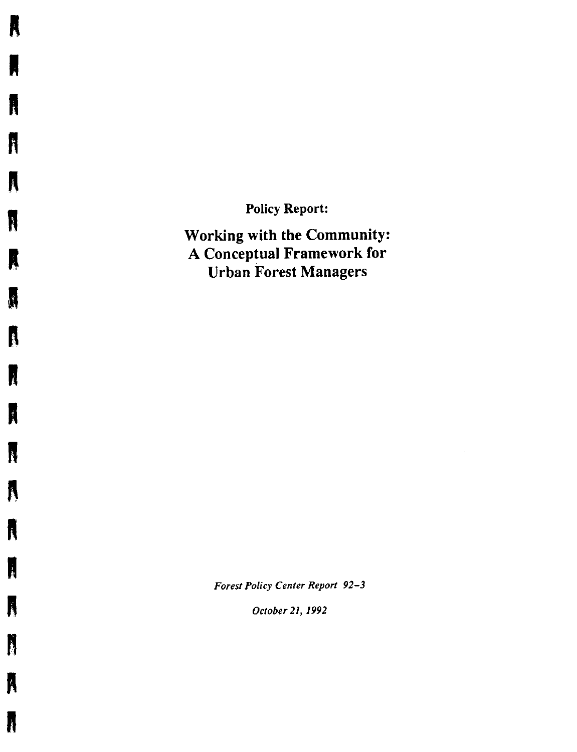Policy Report:

**A** 

**R** 

n

**ft** 

**A** 

K

I

**ft** 

I

**I** 

**n** 

 $\boldsymbol{\lambda}$ 

**ft** 

**I** 

**ft** 

n

**R** 

**ft** 

•

Working with the Community: A Conceptual Framework for Urban Forest Managers

*Forest Policy Center Report 92-3* 

 $\hat{\mathcal{L}}$ 

*October 21, 1992*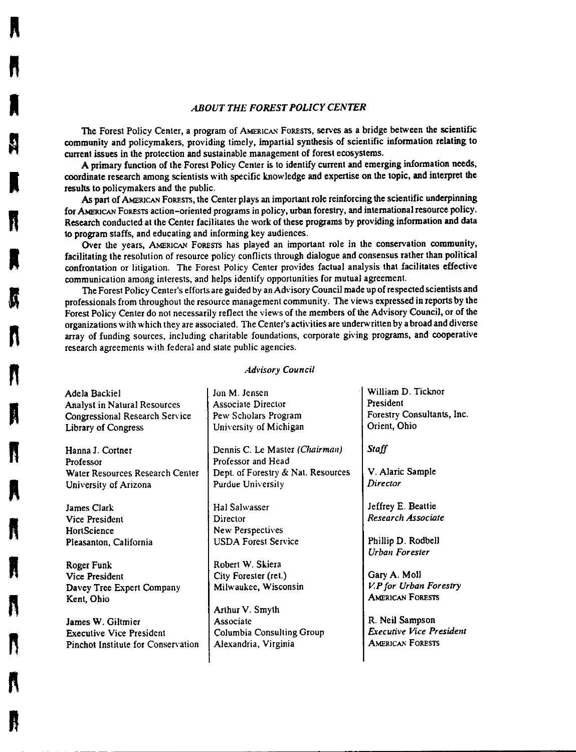#### *ABOUT THE FOREST POLICY CENTER*

The Forest Policy Center, a program of AMERICAN FORESTS, serves as a bridge between the scientific community and policymakers, providing timely, impartial synthesis of scientific information **relating** to current issues in the protection and sustainable management of forest ecosystems.

**ft** 

**ft** 

**l** 

**K** 

K

**n** 

**"**<br>"

**n** 

**ft** 

**"**<br>"

**R** 

**n** 

A primary function of the Forest Policy Center is to identify current and emerging information needs, coordinate research among scientists with specific knowledge and expertise on the topic, and interpret the results to policymakers and the public.

As part of AMERICAN FORESTS, the Center plays an important role reinforcing the scientific underpinning for AMERICAN FoRESTS action-oriented programs in policy, urban forestry, and international resource policy. Research conducted at the Center facilitates the work of these programs by providing information and data 10 program staffs, and educating and informing key audiences.

Over the years, AMERICAN FORESTS has played an important role in the conservation community, facilitating the resolution of resource policy conflicts through dialogue and consensus rather than political confrontation or litigation. The Forest Policy Center provides factual analysis that facilitates effective communication among interests, and helps identify opportunities for mutual agreement.

The Forest Policy Center's efforts are guided by an Advisory Council made up of respected scientists and professionals from throughout the resource management community. The views expressed in reports by the Forest Policy Center do not necessarily reflect the views of the members of the Advisory Council, or of the organizations with which they are associated. The Center's activities are underwritten by a broad and diverse array of funding sources, including charitable foundations, corporate giving programs, and cooperative research agreements with federal and state public agencies.

#### *Advisory Council*

| Adela Backiel                                                           | Jon M. Jensen                                                                              | William D. Ticknor                                                |
|-------------------------------------------------------------------------|--------------------------------------------------------------------------------------------|-------------------------------------------------------------------|
| <b>Analyst in Natural Resources</b>                                     | <b>Associate Director</b>                                                                  | President                                                         |
| Congressional Research Service                                          | Pew Scholars Program                                                                       | Forestry Consultants, Inc.                                        |
| Library of Congress                                                     | University of Michigan                                                                     | Orient, Ohio                                                      |
| Hanna J. Cortner<br>Professor<br>Water Resources Research Center        | Dennis C. Le Master (Chairman)<br>Professor and Head<br>Dept. of Forestry & Nat. Resources | Staff<br>V. Alaric Sample                                         |
| University of Arizona                                                   | Purdue University                                                                          | Director                                                          |
| James Clark                                                             | Hal Salwasser                                                                              | Jeffrey E. Beattie                                                |
| <b>Vice President</b>                                                   | Director                                                                                   | Research Associate                                                |
| <b>HortScience</b>                                                      | New Perspectives                                                                           | Phillip D. Rodbell                                                |
| Pleasanton, California                                                  | <b>USDA Forest Service</b>                                                                 | <b>Urban Forester</b>                                             |
| Roger Funk<br>Vice President<br>Davey Tree Expert Company<br>Kent, Ohio | Robert W. Skiera<br>City Forester (ret.)<br>Milwaukee, Wisconsin<br>Arthur V. Smyth        | Gary A. Moll<br>V.P for Urban Forestry<br><b>AMERICAN FORESTS</b> |
| James W. Giltmier                                                       | Associate                                                                                  | R. Neil Sampson                                                   |
| <b>Executive Vice President</b>                                         | <b>Columbia Consulting Group</b>                                                           | <b>Executive Vice President</b>                                   |
| Pinchot Institute for Conservation                                      | Alexandria, Virginia                                                                       | <b>AMERICAN FORESTS</b>                                           |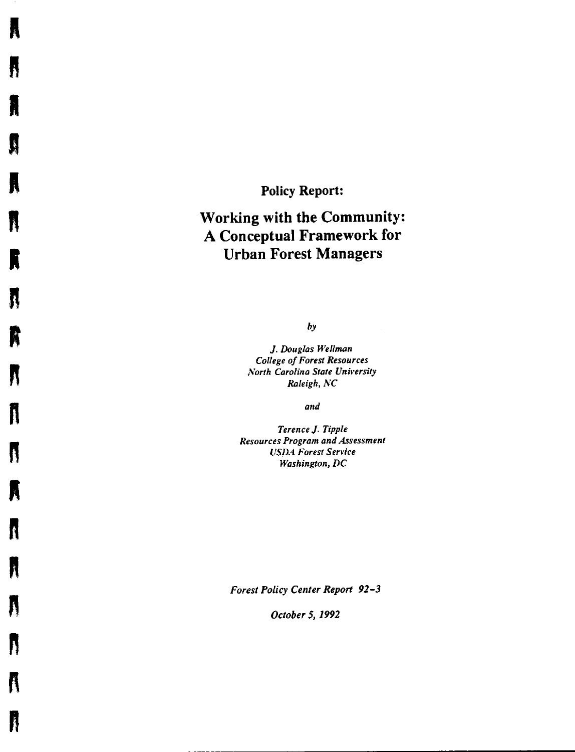**Policy Report:** 

**R** 

**fl** 

**A** 

**h n n n** 

**ft** 

**n** 

**R** 

**n** "

"<br>"<br>"

**n** 

**ft** 

**A** 

**R** 

N

**n** 

**" I**<br>" I

# **Working with the Community: A Conceptual Framework for Urban Forest Managers**

*by* 

J. *Douglas Wellman College of Forest Resources North Carolina State University Raleigh, NC* 

*and* 

*Terence* J. *Tipple Resources Program and Assessment USDA Forest Service Washington, DC* 

*Forest Policy Center Report 92-3* 

*October 5, 1992*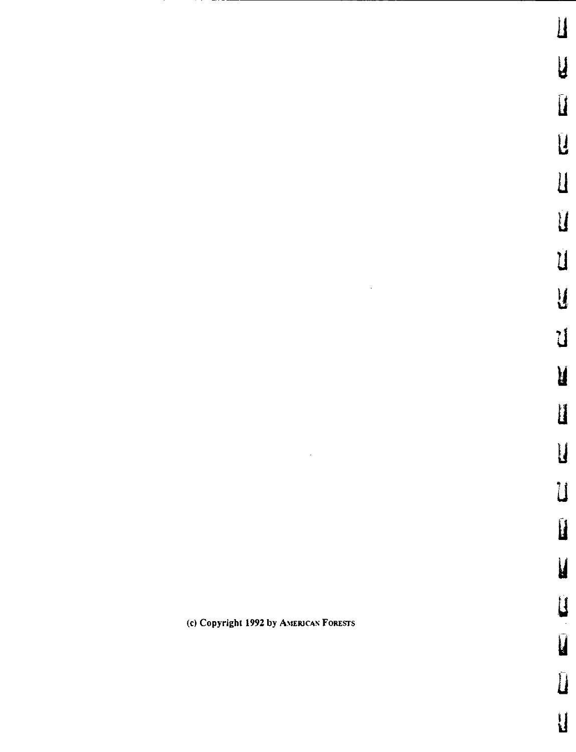$\overline{M}$ 

**u** 

**u** 

**N** 

u

**u** 

y

u

u

u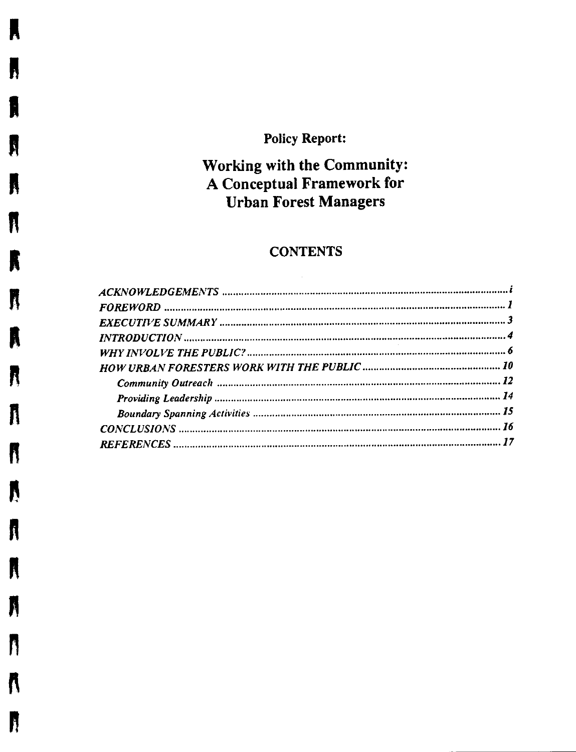# **Policy Report:**

 $\blacksquare$ 

H

N

K

 $\mathbf f$ 

R

R

Â

N

A

R

 $\boldsymbol{\mathbb{N}}$ 

A

A

N

N

 $\boldsymbol{\mathsf{N}}$ 

R

# Working with the Community: A Conceptual Framework for **Urban Forest Managers**

## **CONTENTS**

 $\mathcal{L}^{\text{max}}_{\text{max}}$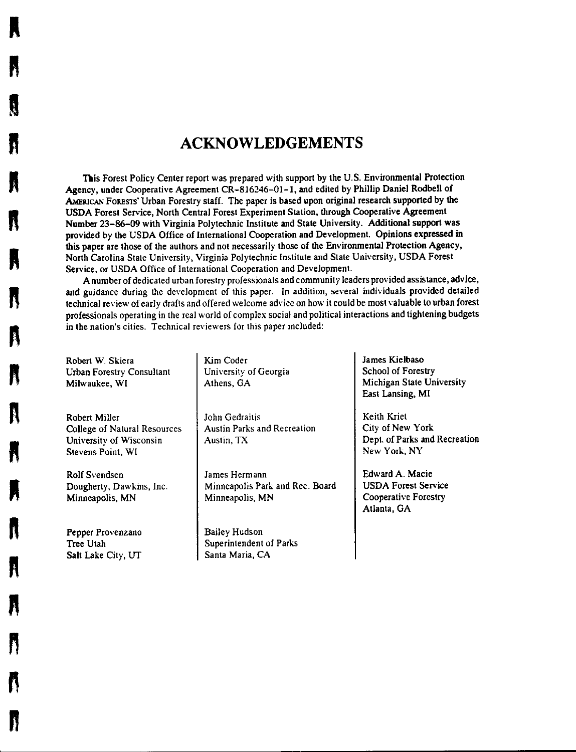## **ACKNOWLEDGEMENTS**

This Forest Policy Center report was prepared with support by the U.S. Environmental Protection Agency, under Cooperative Agreement CR-816246-01-1, and edited by Phillip Daniel Rodbell of AMERICAN FORESTS' Urban Forestry staff. The paper is based upon original research supported by the USDA Forest Service, North Central Forest Experiment Station, through Cooperative Agreement Number 23-86-09 with Virginia Polytechnic Institute and State University. Additional support was provided by the USDA Office of International Cooperation and Development. Opinions expressed in this paper are those of the authors and not necessarily those of the Environmental Protection Agency, North Carolina State University, Virginia Polytechnic Institute and State University, USDA Forest Service, or USDA Office of International Cooperation and Development.

A number of dedicated urban forestry professionals and community leaders provided assistance, advice, and guidance during the development of this paper. In addition, several individuals provided detailed technical review of early drafts and offered welcome advice on how it could be most valuable to urban forest professionals operating in the real world of complex social and political interactions and tightening budgets in the nation's cities. Technical reviewers for this paper included:

Robert W. Skiera Urban Forestry Consultant Milwaukee, Wl

**A** 

**ft** 

**I** 

**n** 

**ft** 

**n** 

**R** 

**n** 

**n** 

**ft** 

**ft** 

**ft** 

**ft** 

**ft** 

**n** 

**n** 

**n** 

Robert Miller College of Natural Resources University of Wisconsin Stevens Point, WI

Rolf Svendsen Dougherty, Dawkins, Inc. Minneapolis, MN

Pepper Provenzano Tree Utah Salt Lake City, UT Kim Coder University of Georgia Athens, GA

John Gcdraitis Austin Parks and Recreation Austin, TX

James Hermann Minneapolis Park and Rec. Board Minneapolis, MN

Bailey Hudson Superintendent of Parks Santa Maria, CA

James Kielbaso School of Forestry Michigan State University East Lansing, MI

Keith Kriet City of New York Dept. of Parks and Recreation New York, NY

Edward A. Macie USDA Forest Service Cooperative Forestry Atlanta, GA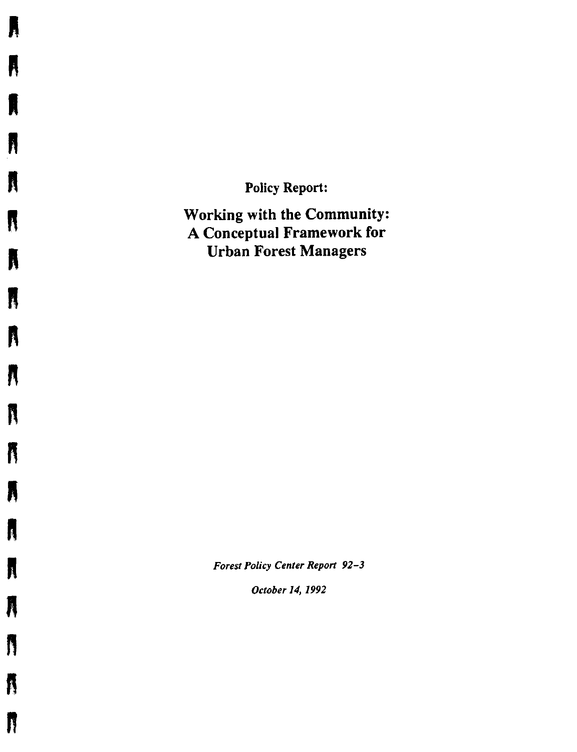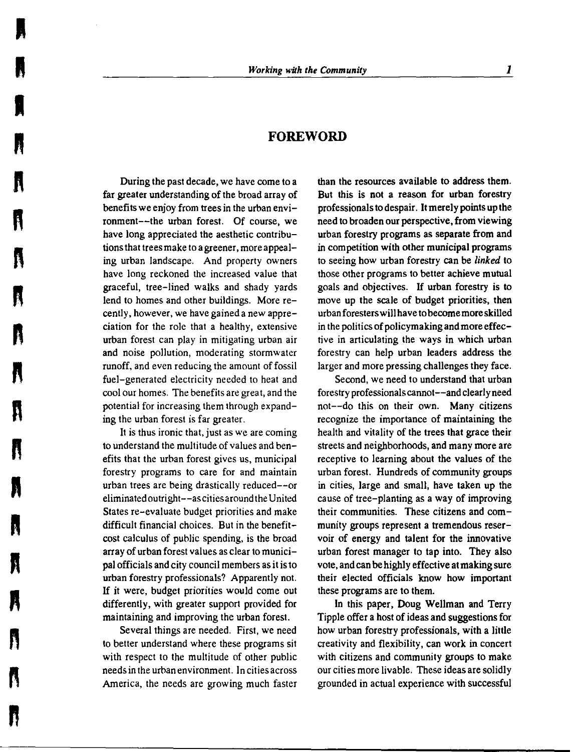#### **FOREWORD**

During the past decade, we have come to a far greater understanding of the broad array of benefits we enjoy from trees in the urban environment--the urban forest. Of course, we have long appreciated the aesthetic contributions that trees make to a greener, more appealing urban landscape. And property owners have long reckoned the increased value that graceful, tree-lined walks and shady yards lend to homes and other buildings. More recently, however, we have gained a new appreciation for the role that a healthy, extensive urban forest can play in mitigating urban air and noise pollution, moderating stormwater runoff, and even reducing the amount of fossil fuel-generated electricity needed to heat and cool our homes. The benefits are great, and the potential for increasing them through expanding the urban forest is far greater.

**I** 

I

**A** 

**ft** 

**""**<br>""

**fl** "

**ft** "

**n** 

**n** 

**"** 

It is thus ironic that, just as we are coming to understand the multitude of values and benefits that the urban forest gives us, municipal forestry programs to care for and maintain urban trees are being drastically reduced--or eliminated outright--ascitiesaround the United States re-evaluate budget priorities and make difficult financial choices. But in the benefitcost calculus of public spending, is the broad array of urban forest values as clear to municipal officials and city council members as it is to urban forestry professionals? Apparently not. If it were, budget priorities would come out differently, with greater support provided for maintaining and improving the urban forest.

Several things are needed. First, we need to better understand where these programs sit with respect to the multitude of other public needs in the urban environment. In cities across America, the needs are growing much faster

than the resources available to address them. But this is not a reason for urban forestry professionals to despair. It merely points up the need to broaden our perspective, from viewing urban forestry programs as separate from and in competition with other municipal programs to seeing how urban forestry can be *linked* to those other programs to better achieve mutual goals and objectives. If urban forestry is to move up the scale of budget priorities, then urban foresters will have to become more skilled in the politics of policymaking and more effective in articulating the ways in which urban forestry can help urban leaders address the larger and more pressing challenges they face.

Second, we need to understand that urban forestry professionals cannot--and clearly need not--do this on their own. Many citizens recognize the importance of maintaining the health and vitality of the trees that grace their streets and neighborhoods, and many more are receptive to learning about the values of the urban forest. Hundreds of community groups in cities, large and small, have taken up the cause of tree-planting as a way of improving their communities. These citizens and community groups represent a tremendous reservoir of energy and talent for the innovative urban forest manager to tap into. They also vote, and can be highly effective at making sure their elected officials know how important these programs are to them.

In this paper, Doug Wellman and Terry Tipple offer a host of ideas and suggestions for how urban forestry professionals, with a little creativity and flexibility, can **work** in concert with citizens and community groups to make our cities more livable. These ideas are solidly grounded in actual experience with successful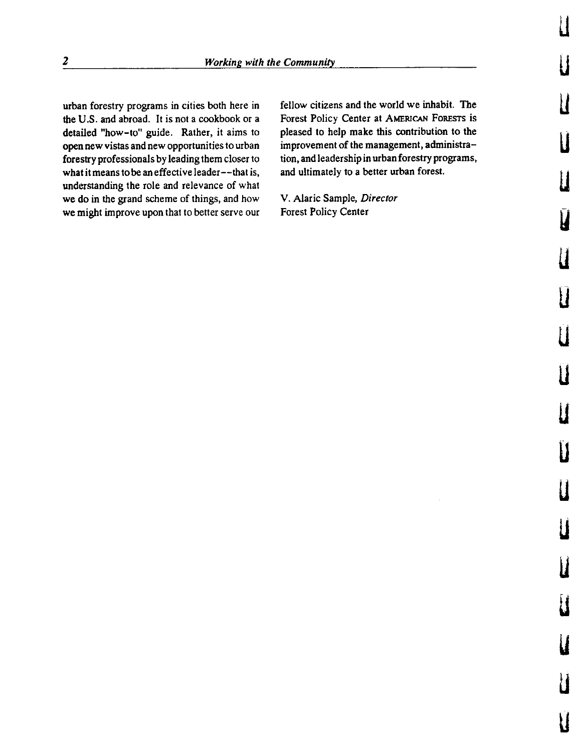urban forestry programs in cities both here in the U.S. and abroad. It is not a cookbook or a detailed "how-to" guide. Rather, it aims to open new vistas and new opportunities to urban forestry professionals by leading them closer to what it means to be an effective leader--that is, understanding the role and relevance of what we do in the grand scheme of things, and how we might improve upon that to better serve our

fellow citizens and the world we inhabit. The Forest Policy Center at AMERICAN FoRESTS is pleased to help make this contribution to the improvement of the management, administration, and leadership in urban forestry programs, and ultimately to a better urban forest.

LI

u

l

**u** 

u

V

 $\mathbf I$ 

u

 $\prod_{i=1}^n$ 

u

u

**u** 

**u** 

**u** 

u

**u** 

**u** 

u

u

V. Alaric Sample, *Director*  Forest Policy Center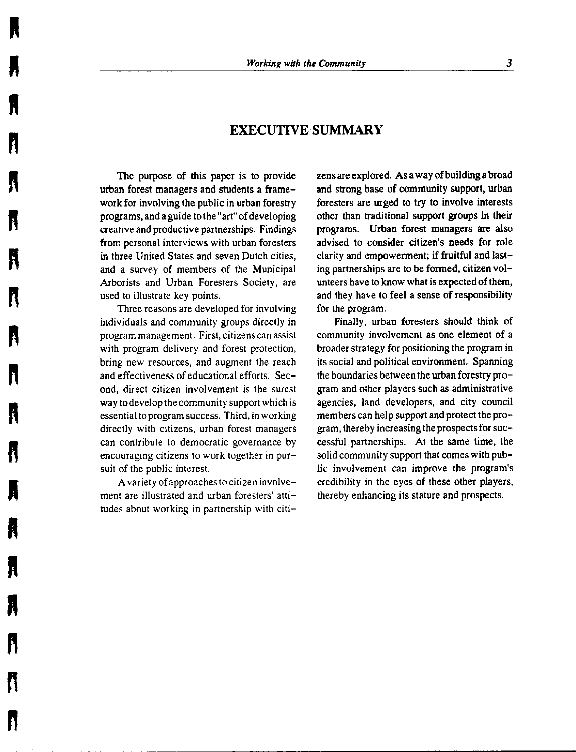## **EXECUTIVE SUMMARY**

The purpose of this paper is to provide urban forest managers and students a framework for involving the public in urban forestry programs, and a guide to the "art" of developing creative and productive partnerships. Findings from personal interviews with urban foresters in three United States and seven Dutch cities, **and a** survey of members of the Municipal Arborists and Urban Foresters Society, are used to illustrate key points.

**I** 

**n** 

**ft** 

**fl** 

**n** 

•

**n** 

**ft** 

**R** 

**n** "

**n** 

Three reasons are developed for involving individuals and community groups directly in program management. First, citizens can assist with program delivery and forest protection, bring new resources, and augment the reach and effectiveness of educational efforts. Second, direct citizen involvement is the surest way to develop the community support which is essential to program success. Third, in working directly with citizens, urban forest managers can contribute to democratic governance by encouraging citizens to work together in pursuit of the public interest.

A variety ofapproaches to citizen involvement are illustrated and urban foresters' attitudes about working in partnership with citizens are explored. **As a** way of building a broad and strong base of community support, urban foresters are urged to try to involve interests other than traditional support groups in their programs. Urban forest managers are also advised to consider citizen's needs for role clarity and empowerment; if fruitful and lasting partnerships are to be formed, citizen volunteers have to know what is expected of them, and they have to feel a sense of responsibility for the program.

Finally, urban foresters should think of community involvement as one element of a broader strategy for positioning the program in its social and political environment. Spanning the boundaries between the urban forestry program and other players such as administrative agencies, land developers, and city council members can help support and protect the program, thereby increasing the prospects for successful partnerships. At the same time, the solid community support that comes with public involvement can improve the program's credibility in the eyes of these other players, thereby enhancing its stature and prospects.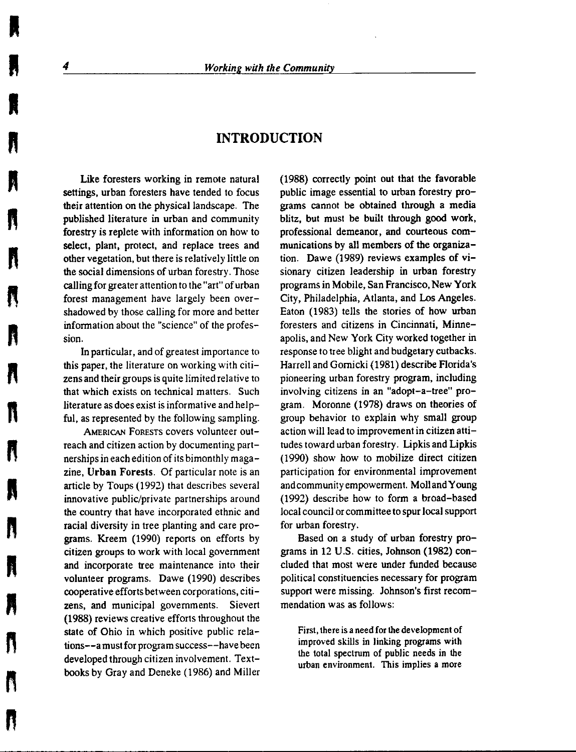## **INTRODUCTION**

Like foresters working in remote natural settings, urban foresters have tended to focus their attention on the physical landscape. The published literature in urban and community forestry is replete with information on how to select, plant, protect, and replace trees and other vegetation, but there is relatively little on the social dimensions of urban forestry. Those calling for greater attention to the "art" of urban forest management have largely been overshadowed by those calling for more and better information about the "science" of the profession.

In particular, and of greatest importance to this paper, the literature on working with citizens and their groups is quite limited relative to that which exists on technical matters. Such literature as does exist is informative and helpful, as represented by the following sampling.

AMERICAN FORESTS covers volunteer outreach and citizen action by documenting partnerships in each edition of its bimonthly magazine, **Urban Forests.** Of particular note is an article by Toups (1992) that describes several innovative public/private partnerships around the country that have incorporated ethnic and racial diversity in tree planting and care programs. Kreem (1990) reports on efforts by citizen groups to work with local government and incorporate tree maintenance into their volunteer programs. Dawe (1990) describes cooperative efforts between corporations, citizens, and municipal governments. Sievert (1988) reviews creative efforts throughout the state of Ohio in which positive public relations--a must for program success--have been developed through citizen involvement. Textbooks by Gray and Deneke (1986) and Miller (1988) correctly point out that the favorable public image essential to urban forestry programs cannot be obtained through a media blitz, but must be built through good work, professional demeanor, and courteous communications by all members of the organization. Dawe (1989) reviews examples of visionary citizen leadership in urban forestry programs in Mobile, San Francisco, New York City, Philadelphia, Atlanta, and Los Angeles. Eaton (1983) tells the stories of how urban foresters and citizens in Cincinnati, Minneapolis, and New York City worked together in response to tree blight and budgetary cutbacks. Harrell and Gornicki (1981) describe Florida's pioneering urban forestry program, including involving citizens in an "adopt-a-tree" program. Moronne (1978) draws on theories of group behavior to explain why small group action will lead to improvement in citizen attitudes toward urban forestry. Lipkis and Lipkis (1990) show how to mobilize direct citizen participation for environmental improvement and community empowerment. Moll and Young (1992) describe how to form a broad-based local council or committee to spur local support for urban forestry.

Based on a study of urban forestry programs in 12 U.S. cities, Johnson (1982) concluded that most were under funded because political constituencies necessary for program support were missing. Johnson's first recommendation was as follows:

First, there is a need for the development of improved skills in linking programs with the total spectrum of public needs in the urban environment. This implies a more

**ft** 

**I** 

**ft** 

**ft** 

" **n** 

**n** 

**R** 

**ft** 

**ft** 

**R** 

**ft** 

**n** 

**n**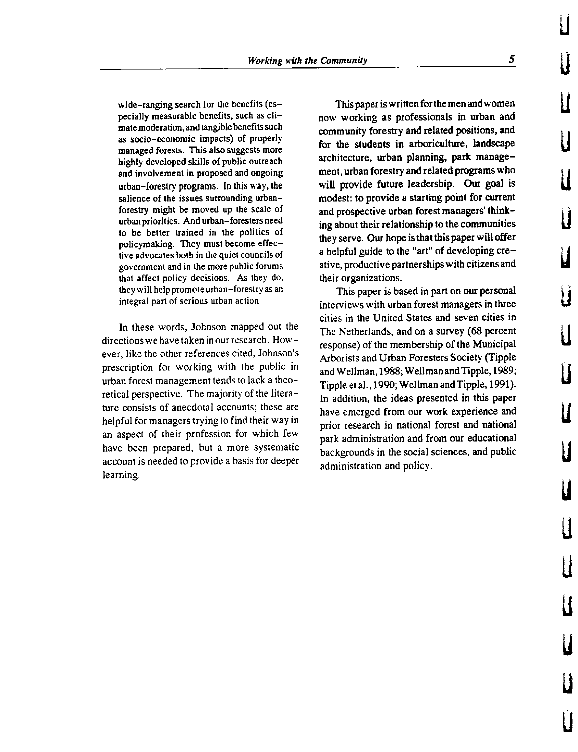wide-ranging search for the benefits (especially measurable benefits, such as climate moderation.and tangible benefits such as socio-economic impacts) of properly managed forests. This also suggests more highly developed skills of public outreach and involvement in proposed and ongoing urban-forestry programs. In this way, the salience of the issues surrounding urbanforestry might be moved up the scale of urban priorities. And urban-foresters need to be better trained in the politics of policymaking. They must become effective advocates both in the quiet councils of government and in the more public forums that affect policy decisions. As they do, they will help promote urban-forestry as an integral part of serious urban action.

In these words, Johnson mapped out the directions we have taken in our research. However, like the other references cited, Johnson's prescription for working with the public in urban forest management tends to lack a theoretical perspective. The majority of the literature consists of anecdotal accounts; these are helpful for managers trying to find their way in an aspect of their profession for which few have been prepared, but a more systematic account is needed to provide a basis for deeper learning.

This paper is written for the men and women now working as professionals in urban and community forestry and related positions, and for the students in arboriculture, landscape architecture, urban planning, park management, urban forestry and related programs who will provide future leadership. Our goal is modest: to provide a starting point for current and prospective urban forest managers' thinking about their relationship to the communities they serve. Our hope is that this paper will offer a helpful guide to the "art" of developing creative, productive partnerships with citizens and their organizations.

This paper is based in part on our personal interviews with urban forest managers in three cities in the United States and seven cities in The Netherlands, and on a survey (68 percent response) of the membership of the Municipal Arborists and Urban Foresters Society (Tipple and Wellman, 1988; Wellman and Tipple, 1989; Tipple et al., 1990; Wellman and Tipple, 1991 ). In addition, the ideas presented in this paper have emerged from our work experience and prior research in national forest and national park administration and from our educational backgrounds in the social sciences, and public administration and policy.

LI

u

u

u

u

 $\mathbf{l}$ 

u

u

u

u

u

u

u

u

u

u

u

u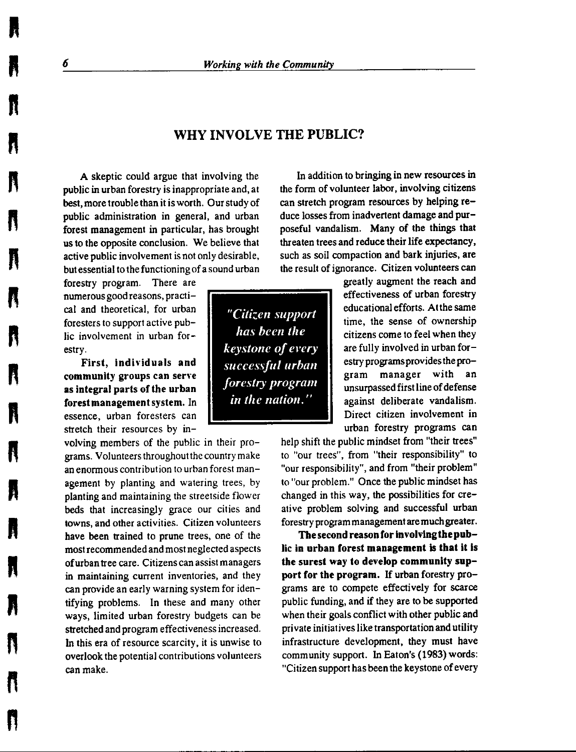## **WHY INVOLVE THE PUBLIC?**

**A** skeptic could argue that involving the public in urban forestry is inappropriate and, at best, more trouble than it is worth. Our study of public administration in general, and urban forest management in particular, has brought us to the opposite conclusion. We believe that active public involvement is not only desirable, but essential to the functioning of a sound urban

forestry program. There are numerous good reasons, practical and theoretical, for urban foresters to support active public involvement in urban forestry.

First, individuals and **community groups can sen·e as integral parts of the urban forestmanagementsystem.** In essence, urban foresters can stretch their resources by in-

volving members of the public in their programs. Volunteers throughoutthe country make an enormous contribution to urban forest management by planting and watering trees, by planting and maintaining the streetside flower beds that increasingly grace our cities and towns, and other activities. Citizen volunteers **have** been trained to prune trees, one of the most recommended and most neglected aspects of urban tree care. Citizens can assist managers in maintaining current inventories, and they can provide an early warning system for identifying problems. In these and many other ways, limited urban forestry budgets can be stretched and program effectiveness increased. In this era of resource scarcity, it is unwise to overlook the potential contributions volunteers can make.

In addition to bringing in new resources in the form of volunteer labor, involving citizens can stretch program resources by helping reduce losses from inadvertent damage and purposeful vandalism. Many of the things that threaten trees and reduce their life expectancy, such as soil compaction and bark injuries, are the result of ignorance. Citizen volunteers can

*has been the keystone of every successful urban forestry program in the nation."* 

greatly augment the reach and effectiveness of urban forestry *"Citizen support* educational efforts. At the same time, the sense of ownership citizens come to feel when they are fully involved in urban forestry programs provides the program manager with an unsurpassed first line of defense against deliberate vandalism. Direct citizen involvement in urban forestry programs can

> help shift the public mindset from "their trees" to "our trees", from "their responsibility" to "our responsibility", and from "their problem" to "our problem." Once the public mindset has changed in this way, the possibilities for creative problem solving and successful urban forestry program management are much greater.

> **The second reason for involving the pub**lic **in urban forest management** is **that** it is **the surest way to develop community support for the program.** If urban forestry programs are to compete effectively for scarce public funding, and if they are to be supported when their goals conflict with other public and private initiatives like transportation and utility infrastructure development, they must have community support. In Eaton's (1983) words: "Citizen support has been the keystone of every

**n** 

**ft** 

**ft** 

**ft** 

**R** 

**n** 

n "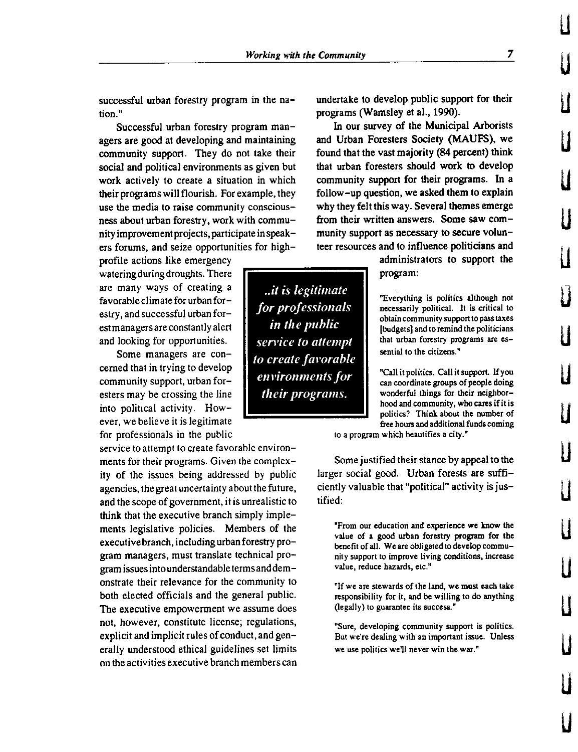successful urban forestry program in the na**tion."** 

Successful urban forestry program managers are good at developing and maintaining community support. They do not take their social and political environments as given but work actively to create a situation in which their programs will flourish. For example, they use the media to raise community consciousness about urban forestry, work with community improvement projects, participate in speakers forums, and seize opportunities for high-

profile actions like emergency watering during droughts. There are many ways of creating a favorable climate for urban forestry, and successful urban forest managers are constantly alert and looking for opportunities.

cerned that in trying to develop community support, urban foresters may be crossing the line into political activity. However, we believe it is legitimate for professionals in the public

service to attempt to create favorable environments for their programs. Given the complexity of the issues being addressed by public agencies, the great uncertainty about the future, and the scope of government, it is unrealistic to think that the executive branch simply implements legislative policies. Members of the executive branch, including urban forestry program managers, must translate technical program issues into understandable terms and demonstrate their relevance for the community to both elected officials and the general public. The executive empowerment we assume does not, however, constitute license; regulations, explicit and implicit rules of conduct, and generally understood ethical guidelines set limits on the activities executive branch members can undertake to develop public support for their programs (Wamsley et al., 1990).

In our survey of the Municipal Arborists and Urban Foresters Society (MAUFS), we found that the vast majority (84 percent) think that urban foresters should work to develop community support for their programs. In a follow-up question, we asked them to explain why they felt this way. Several themes emerge from their written answers. Some saw community support as necessary to secure volunteer resources and to influence politicians and

> administrators to support the program:

*for professionals* **example 1 example 1** *necessarily political.* It is critical to **obtain community supporto pass taxes**  [budgets] and to remind the politicians **that urban forestry programs are es-**

**environments for Callit politics. Call it support.** If you can coordinate groups of people doing wonderful things for their neighborhood and community, who cares if it is politics? Think about the number of free hours and additional funds coming

**to a program which beautifies a city."** 

Some justified their stance by appeal to the larger social good. Urban forests **are** sufficiently valuable that "political" activity is justified:

**"From our education and experience we know the**  value of a good urban forestry program for the benefit of all. We are obligated to develop commu**nity support to improve living conditions, increase**  value, reduce hazards, etc."

"If **we are stewards of the land, we must each take**  responsibility for it, and be willing to do anything (legally) to guarantee its success."

**"Sure, developing community support is politics. But we're dealing with an important issue. Unless we use politics we'll never win the war."** 

*.. it is legitimate*  Some managers are con*in the public sen•ice to attempt to create favorable their programs.* 

**LI** 

**u** 

**u** 

**u** 

**u** 

**u** 

**u** 

u

u

**u** 

**u** 

**u** 

u

LI

**u** 

**LI** 

**u** 

**u**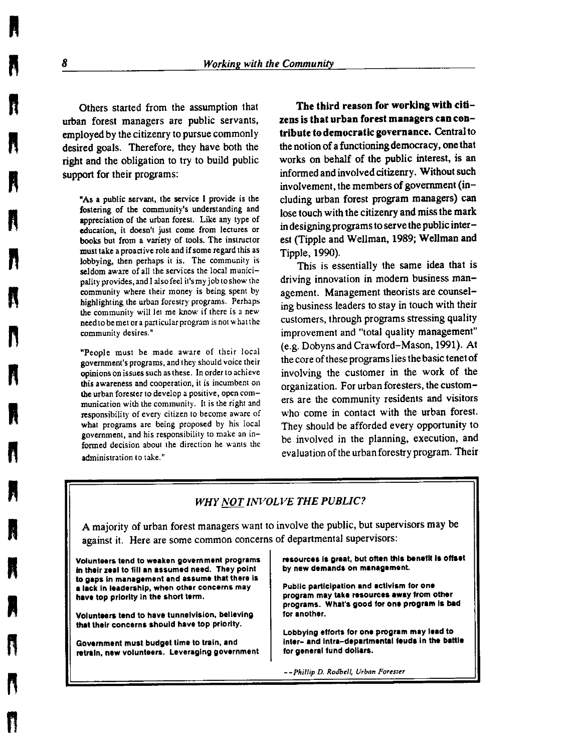Others started from the assumption that urban forest managers are public servants, employed by the citizenry to pursue commonly desired goals. Therefore, they have both the right and the obligation to try to build public support for their programs:

"As a public servant, the service I provide is the fostering of the community's understanding and appreciation of the urban forest. Like any type of education, it doesn't just come from lectures or books but from a variety of tools. The instructor must take a proactive role and if some regard this as lobbying, then perhaps it is. The community is seldom aware of all the services the local municipality provides, and I also feel it's my job to show the community where their money is being spent by highlighting the urban forestry programs. Perhaps the community will let me know if there is a new need to be met or a particular program is not what the community desires."

"People must be made aware of their local government's programs, and they should voice their opinions on issues such as these. In order to achieve this awareness and cooperation, it is incumbent on the urban forester to develop a positive, open communication with the community. It is the right and responsibility of every citizen to become aware of what programs are being proposed by his local government, and his responsibility to make an infonned decision about the direction he wants the administration to take."

**The third reason for working with citizens is that urban forest managers can contribute to democratic governance.** Central to the notion of a functioning democracy, one that works on behalf of the public interest, is an informed and involved citizenry. Without such involvement, the members of government (including urban forest program managers) can lose touch with the citizenry and miss the mark in designing programs to serve the public interest (Tipple and Wellman, 1989; Wellman and Tipple, 1990).

This is essentially the same idea that is driving innovation in modem business management. Management theorists are counseling business leaders to stay in touch with their customers, through programs stressing quality improvement and "total quality management" (e.g. Dobyns and Crawford-Mason, 1991). At the core of these programs lies the basic tenet of involving the customer in the work of the organization. For urban foresters, the customers are the community residents and visitors who come in contact with the urban forest. They should be afforded every opportunity to be involved in the planning, execution, and evaluation of the urban forestry program. Their

#### *WHY NOT INVOLVE THE PUBLIC?*

A majority of urban forest managers want to involve the public, but supervisors may be against it. Here are some common concerns of departmental supervisors:

Volunteers tend to weaken government programs In their zeal to fill **an** assumed need. They point to gaps In management and assume that there Is a lack In leadership, when other concerns may have top priority in the short term.

Volunteers tend to have tunnelvision, believing that their concerns should have top priority.

Government must budget time to train, and retrain, new volunteers. Leveraging government resources Is great, but often this benefit Is offset by new demands on management.

Public participation and activism tor one program may take resources away from other programs. What's good for **ont program Is bad**  tor another.

Lobbying efforts for one program may lead to inter- and intra-departmental feuds in the battle tor general fund dollars.

--Pl,illip D. *Rodbe/1, Urban Forester* 

**ft** 

n

ft

n

**H** 

**R** 

n

**ft** 

**A** 

**R** 

**A** 

n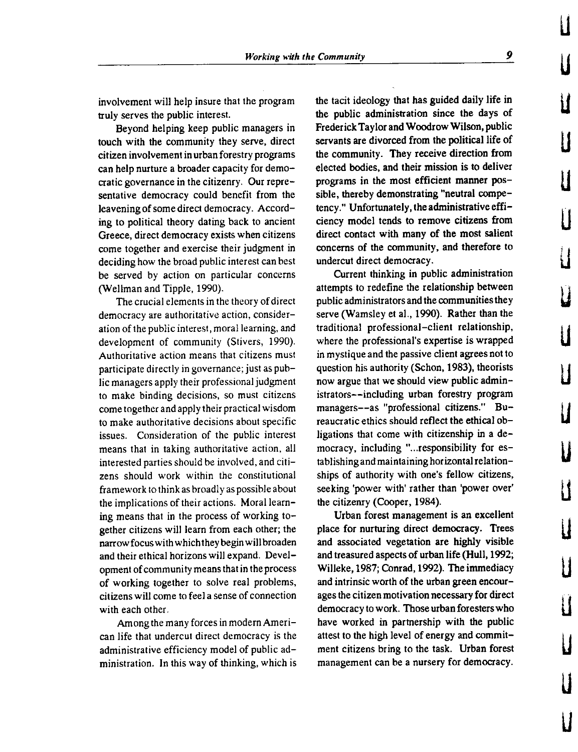involvement will help insure that the program truly serves the public interest.

Beyond helping keep public managers in touch with the community they serve, direct citizen involvement in urban forestry programs can help nurture a broader capacity for democratic governance in the citizenry. Our representative democracy could benefit from the leavening of some direct democracy. According to political theory dating back to ancient Greece, direct democracy exists when citizens come together and exercise their judgment in deciding how the broad public interest can best be served by action on particular concerns (Wellman and Tipple, 1990).

The crucial elements in the theory of direct democracy are authoritative action, consideration of the public interest, moral learning, and development of community (Stivers, 1990). Authoritative action means that citizens must participate directly in governance; just as public managers apply their professional judgment to make binding decisions, so must citizens come together and apply their practical wisdom to make authoritative decisions about specific issues. Consideration of the public interest means that in taking authoritative action, all interested parties should be involved, and citizens should work within the constitutional framework to think as broadly as possible about the implications of their actions. Moral learning means that in the process of working together citizens will learn from each other; the narrow focus with which they begin will broaden and their ethical horizons will expand. Development of community means that in the process of working together to solve real problems, citizens will come to feel a sense of connection with each other.

Among the many forces in modern American life that undercut direct democracy is the administrative efficiency model of public administration. In this way of thinking, which is the tacit ideology that has guided daily life in the public administration since the days of Frederick Taylor and Woodrow Wilson, public servants are divorced from the political life of the community. They receive direction from elected bodies, and their mission is to deliver programs in the most efficient manner possible, thereby demonstrating "neutral competency." Unfortunately, the administrative efficiency model tends to remove citizens from direct contact with many of the most salient concerns of the community, and therefore to undercut direct democracy.

Current thinking in public administration attempts to redefine the relationship between public administrators and the communities they serve (Wamsley et al., 1990). Rather than the traditional professional-client relationship, where the professional's expertise is wrapped in mystique and the passive client agrees not to question his authority (Schon, 1983), theorists now argue that we should view public administrators--including urban forestry program managers--as "professional citizens." Bureaucratic ethics should reflect the ethical obligations that come with citizenship in a democracy, including "... responsibility for establishing and maintaining horizontal relationships of authority with one's fellow citizens, seeking 'power with' rather than 'power over' the citizenry (Cooper, 1984).

Urban forest management is an excellent place for nurturing direct democracy. Trees and associated vegetation are highly visible and treasured aspects of urban life **(Hull,** 1992; Willeke, 1987; Conrad, 1992). The immediacy and intrinsic worth of the urban green encourages the citizen motivation necessary for direct democracy to work. Those urban foresters who have worked in partnership with the public attest to the high level of energy and commitment citizens bring to the task. Urban forest management can be a nursery for democracy.

**u** 

**u** 

**u** 

**u** 

**LI** 

**u** 

**u** 

**u** 

**u** 

**u** 

**u** 

**u** 

**u** 

**u** 

**u** 

**u** 

**u** 

**u**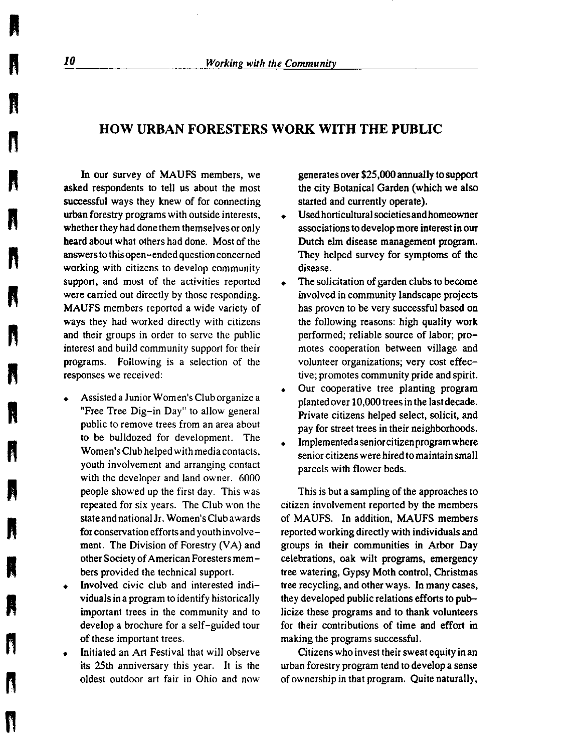## **HOW URBAN FORESTERS WORK WITH THE PUBLIC**

In our survey of MAUFS members, we asked respondents to tell us about the most successful ways they knew of for connecting urban forestry programs with outside interests, whether they had done them themselves or only heard about what others had done. Most of the **answers** to this open-ended question concerned **working** with citizens to develop community support, and most of the activities reported **were** carried out directly by those responding. **MAUFS** members reported a wide variety of ways they had worked directly with citizens and their groups in order to serve the public interest and build community support for their programs. Following is a selection of the responses we received:

- Assisted a Junior Women's Club organize a "Free Tree Dig-in Day" to allow general public to remove trees from an area about to be bulldozed for development. The Women's Club helped with media contacts, youth involvement and arranging contact with the developer and land owner. 6000 people showed up the first day. This was repeated for six years. The Club won the stateandnationalJr. Women's Club awards for conservation efforts and youth involvement. The Division of Forestry (VA) and other Society of American Foresters members provided the technical support.
- Involved civic club and interested individuals in a program to identify historically important trees in the community and to develop a brochure for a self-guided tour of these important trees.
- Initiated an Art Festival that will observe its 25th anniversary this year. It is the oldest outdoor art fair in Ohio and now

generates over \$25,000 annually to support the city Botanical Garden (which we also started and currently operate).

- Used horticultural societies and homeowner associations to develop more interest in our Dutch elm disease management program. They helped survey for symptoms of the disease.
- The solicitation of garden clubs to become involved in community landscape projects has proven to be very successful based on the following reasons: high quality work performed; reliable source of labor; promotes cooperation between village and volunteer organizations; very cost effective; promotes community pride and spirit.
- Our cooperative tree planting program planted over 10,000 trees in the last decade. Private citizens helped select, solicit, and pay for street trees in their neighborhoods.
- Implemented a senior citizen program where senior citizens were hired to maintain small parcels with flower beds.

This is but a sampling of the approaches to citizen involvement reported by the members of MAUFS. In addition, **MAUFS** members reported working directly with individuals and groups in their communities in Arbor Day celebrations, oak wilt programs, emergency tree watering, Gypsy Moth control, Christmas tree recycling, and other ways. In many cases, they developed public relations efforts to publicize these programs and to thank volunteers for their contributions of time and effort in making the programs successful.

Citizens who invest their sweat equity in an urban forestry program tend to develop a sense of ownership in that program. Quite naturally,

**n** 

**ft** 

" **ft** 

**ft** 

**ft** 

**n** 

**n** 

**I** 

**I** 

**R** 

" |<br>"<br>|

**n** "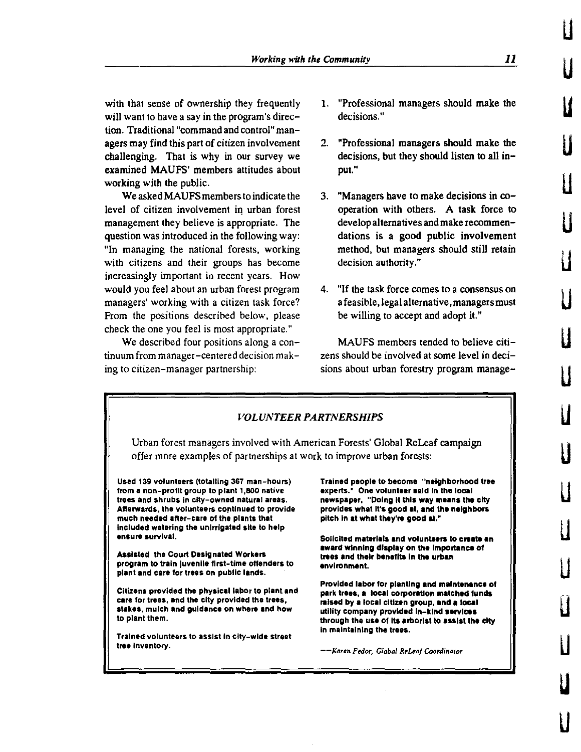with that sense of ownership they frequently will want to have a say in the program's direction. Traditional "command and control" managers may find this part of citizen involvement challenging. That is why in our survey we examined MAUFS' members attitudes about working with the public.

We asked MAUFS members to indicate the level of citizen involvement in urban forest management they believe is appropriate. The question was introduced in the following way: "In managing the national forests, working with citizens and their groups has become increasingly important in recent years. How would you feel about an urban forest program managers' working with a citizen task force? From the positions described below, please check the one you feel is most appropriate."

**We** described four positions along a continuum from manager-centered decision making to citizen-manager partnership:

- 1. "Professional managers should make the decisions."
- 2. "Professional managers should make the decisions, but they should listen to all input."
- 3. "Managers have to make decisions in cooperation with others. A task force to develop alternatives and make recommendations is a good public involvement method, but managers should still retain decision authority."
- 4. "If the task force comes to a consensus on a feasible, legal alternative, managers must be willing to accept and adopt it."

MAUFS members tended to believe citizens should be involved at some level in decisions about urban forestry program manage-



LI

u

u

u

u

u

u

u

u

u

u

u

u

u

u

**u** 

u

u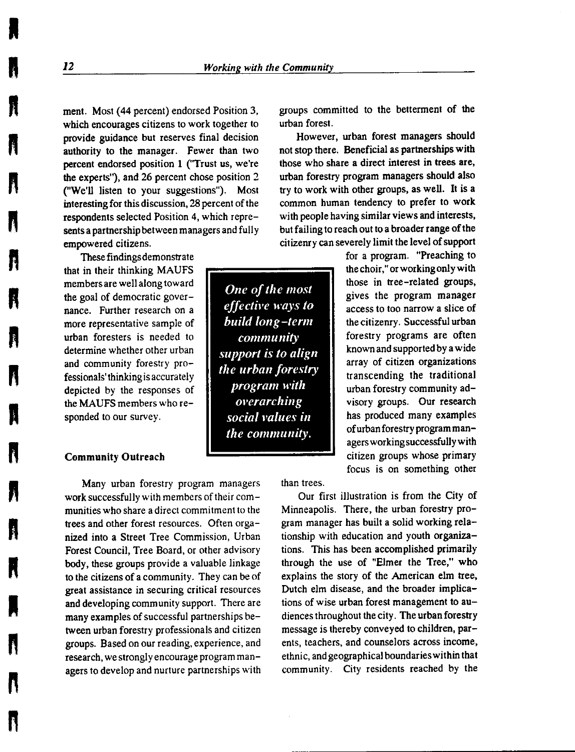ment. Most (44 percent) endorsed Position 3, which encourages citizens to work together to provide guidance but reserves final decision authority to the manager. Fewer than two percent endorsed position 1 ("Trust us, we're the experts"), and 26 percent chose position 2 ("We'll listen to your suggestions"). Most interesting for this discussion, 28 percent of the respondents selected Position 4, which represents a partnership between managers and fully empowered citizens.

These findings demonstrate that in their thinking MAUFS members are well along toward the goal of democratic governance. Further research on a more representative sample of urban foresters is needed to determine whether other urban and community forestry professionals' thinking is accurately depicted by the responses of the MAUFS members who responded to our survey.

#### Community Outreach

Many urban forestry program managers work successfully with members of their communities who share a direct commitment to the trees and other forest resources. Often organized into a Street Tree Commission, Urban Forest Council, Tree Board, or other advisory body, these groups provide a valuable linkage to the citizens of a community. They can be of great assistance in securing critical resources and developing community support. There are many examples of successful partnerships between urban forestry professionals and citizen groups. Based on our reading, experience, and research, we strongly encourage program managers to develop and nurture partnerships with groups committed to the betterment of the urban forest.

However, urban forest managers should not stop there. Beneficial as partnerships with those who share a direct interest in trees are, urban forestry program managers should also try to work with other groups, as well. It is a common human tendency to prefer to work with people having similar views and interests, but failing to reach out to a broader range of the citizenry can severely limit the level of support

> for a program. "Preaching to the choir," or working only with those in tree-related groups, gives the program manager access to too narrow a slice of the citizenry. Successful urban forestry programs are often known and supported by a wide array of citizen organizations transcending the traditional urban forestry community advisory groups. Our research has produced many examples of urban forestry program managers working successfully with citizen groups whose primary focus is on something other

than trees.

Our first illustration is from the City of Minneapolis. There, the urban forestry program manager has built a solid working relationship with education and youth organizations. This has been accomplished primarily through the use of "Elmer the Tree," who explains the story of the American elm tree, Dutch elm disease, and the broader implications of wise urban forest management to audiences throughout the city. The urban forestry message is thereby conveyed to children, **par**ents, teachers, and counselors across income, ethnic, and geographical boundaries within that community. City residents reached by the

**A** 

I

**R** 

**ft ft** 

**n** 

**ft** 

n<br>Nati

" "

*One of the most effectfre ways to build long-term community support is to align the urban forestry program with <i><u>overarching</u> social 1•alues in the community.*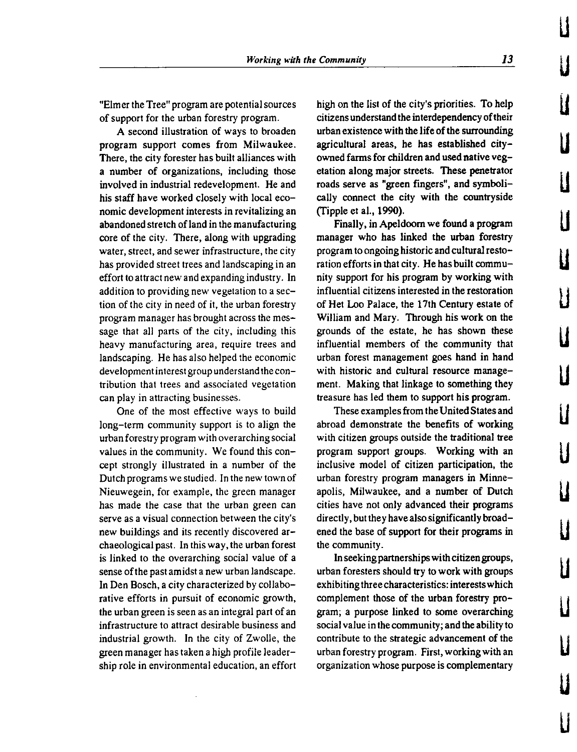"Elmer the Tree" program are potential sources of support for the urban forestry program.

**A** second illustration of ways to broaden program support comes from Milwaukee. There, the city forester has built alliances with a number of organizations, including those involved in industrial redevelopment. He and his staff have worked closely with local economic development interests in revitalizing an abandoned stretch of land in the manufacturing core of the city. There, along with upgrading water, street, and sewer infrastructure, the city has provided street trees and landscaping in an effort to attract new and expanding industry. In addition to providing new vegetation to a section of the city in need of it, the urban forestry program manager has brought across the message that all parts of the city, including this heavy manufacturing area, require trees and landscaping. He has also helped the economic development interest group understand the contribution that trees and associated vegetation can play in attracting businesses.

One of the most effective ways to build long-term community support is to align the urban forestry program with overarching social values in the community. We found this concept strongly illustrated in a number of the Dutch programs we studied. In the new town of Nieuwegein, for example, the green manager has made the case that the urban green can serve as a visual connection between the city's new buildings and its recently discovered archaeological past. In this way, the urban forest is linked to the overarching social value of a sense of the past amidst a new urban landscape. In Den Bosch, a city characterized by collaborative efforts in pursuit of economic growth, the urban green is seen as an integral part of an infrastructure to attract desirable business and industrial growth. In the city of Zwolle, the green manager has taken a high profile leadership role in environmental education, an effort high on the list of the city's priorities. To help citizens understand the interdependency of their urban existence with the life of the surrounding agricultural areas, he has established cityowned farms for children and used native vegetation along major streets. These penetrator roads serve as "green fingers", and symbolically connect the city with the countryside (ripple et al., 1990).

Finally, in Apeldoorn we found a program manager who has linked the urban forestry program to ongoing historic and cultural restoration efforts in that city. He has built community support for his program by working with influential citizens interested in the restoration of Het Loo Palace, the 17th Century estate of William and Mary. Through his **work** on the grounds of the estate, he has shown these influential members of the community that urban forest management goes hand in hand with historic and cultural resource management. Making that linkage to something they treasure has led them to support his program.

These examples from the United States and abroad demonstrate the benefits of working with citizen groups outside the traditional tree program support groups. Working with an inclusive model of citizen participation, the urban forestry program managers in Minneapolis, Milwaukee, and a number of Dutch cities have not only advanced their programs directly, but they have also significantly broadened the base of support for their programs in the community.

In seeking partnerships with citizen groups, urban foresters should try to work with groups exhibiting three characteristics: interests which complement those of the urban forestry program; a purpose linked to some overarching social value in the community; and the ability to contribute to the strategic advancement of the urban forestry program. First, working with an organization whose purpose is complementary

u

u

u

u u u u u u u u u u u u u u u LI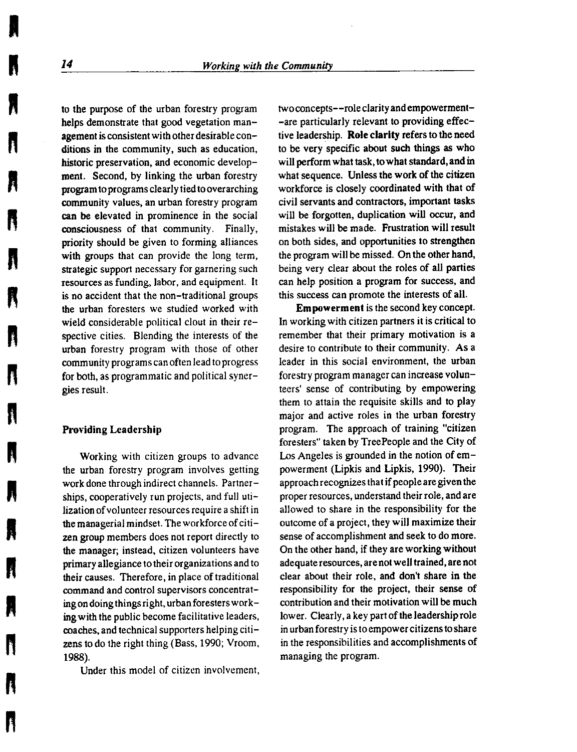to the purpose of the urban forestry program helps demonstrate that good vegetation management is consistent with other desirable conditions in the community, such as education, historic preservation, and economic development. Second, by linking the urban forestry program to programs clearly tied to overarching community values, an urban forestry program **can be** elevated in prominence in the social consciousness of that community. Finally, priority should be given to forming alliances with groups that can provide the long term, strategic support necessary for garnering such resources as funding, labor, and equipment. It is no accident that the non-traditional groups the urban foresters we studied worked with wield considerable political clout in their respective cities. Blending the interests of the urban forestry program with those of other community programs can often lead to progress for both, as programmatic and political synergies result.

#### **Providing Leadership**

Working with citizen groups to advance the urban forestry program involves getting work done through indirect channels. Partnerships, cooperatively run projects, and full utilization of volunteer resources require a shift in the managerial mindset. The workforce of citizen group members does not report directly to the manager; instead, citizen volunteers have primary allegiance to their organizations and to their causes. Therefore, in place of traditional command and control supervisors concentrating on doing things right, urban foresters working with the public become facilitative leaders, coaches, and technical supporters helping citizens to do the right thing (Bass, 1990; Vroom, **1988).** 

Under this model of citizen involvement,

two concepts--role clarity and empowerment- -are particularly relevant to providing effective leadership. **Role clarity** refers to the need to be very specific about such things as who will perform what task, to what standard, and in what sequence. Unless the work of the citizen workforce is closely coordinated with that of civil servants and contractors, important tasks will be forgotten, duplication will occur, and mistakes will be made. Frustration will result on both sides, and opportunities to strengthen the program will be missed. On the other hand, being very clear about the roles of all parties can help position a program for success, and this success can promote the interests of all.

**Empowerment** is the second key concept. In working with citizen partners it is critical to remember that their primary motivation is a desire to contribute to their community. As a leader in this social environment, the urban forestry program manager can increase volunteers' sense of contributing by empowering them to attain the requisite skills and to play major and active roles in the urban forestry program. The approach of training "citizen foresters" taken by TreePeople and the City of Los Angeles is grounded in the notion of empowerment (Lipkis and Lipkis, 1990). Their approach recognizes that if people are given the proper resources, understand their role, and are allowed to share in the responsibility for the outcome of a project, they will maximize their sense of accomplishment and seek to do more. On the other hand, if they are working without adequate resources, are not well trained, are not clear about their role, and don't share in the responsibility for the project, their sense of contribution and their motivation will be much lower. Clearly, a key part of the leadership role in urban forestry is to empower citizens to share in the responsibilities and accomplishments of managing the program.

**I** 

**i** 

**ft** 

ł

Ã

À

Ĥ

" **n** 

**n** 

**ft** 

**n** 

**ft**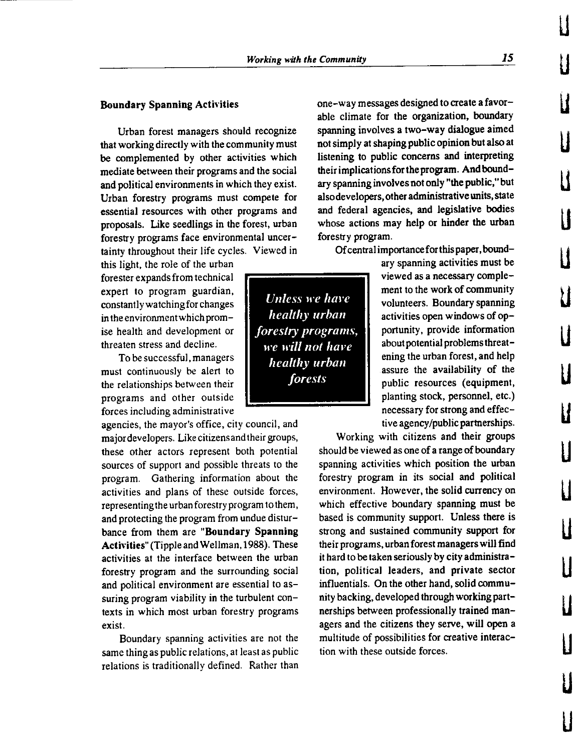Urban forest managers should recognize that working directly with the community must be complemented by other activities which mediate between their programs and the social and political environments in which they exist. Urban forestry programs must compete for essential resources with other programs and proposals. Like seedlings in the forest, urban forestry programs face environmental uncertainty throughout their life cycles. Viewed in

this light, the role of the urban forester expands from technical expert to program guardian, constantly watching for changes in the environment which promise health and development or threaten stress and decline.

To be successful, managers must continuously be alert to the relationships between their programs and other outside forces including administrative

agencies, the mayor's office, city council, and major developers. Like citizens and their groups, these other actors represent both potential sources of support and possible threats to the program. Gathering information about the activities and plans of these outside forces, representing the urban forestry program to them, and protecting the program from undue disturbance from them are **"Boundary Spanning Acth'ities"** (Tipple and Wellman, 1988). These activities at the interface between the urban forestry program and the surrounding social and political environment are essential to assuring program viability in the turbulent contexts in which most urban forestry programs exist.

Boundary spanning activities are not the same thing as public relations, at least as public relations is traditionally defined. Rather than one-way messages designed to create a favorable climate for the organization, boundary spanning involves a two-way dialogue aimed not simply at shaping public opinion but also at listening to public concerns and interpreting their implications for the program. And boundary spanning involves not only "the public," but also developers, other administrative units, state and federal agencies, and legislative bodies whose actions may help or hinder the urban forestry program.

Of central importanceforthis paper, bound-

ary spanning activities must be viewed as a necessary complement to the work of community volunteers. Boundary spanning activities open windows of opportunity, provide information about potential problems threatening the urban forest, and help assure the availability of the public resources (equipment, planting stock, personnel, etc.) necessary for strong and effective agency/public partnerships.

Working with citizens and their groups should be viewed as one of a range of boundary spanning activities which position the urban forestry program in its social and political environment. However, the solid currency on which effective boundary spanning must be based is community support. Unless there is strong and sustained community support for their programs, urban forest managers will find it hard to be taken seriously by city administration, political leaders, and private sector influentials. On the other hand, solid community backing, developed through working partnerships between professionally trained managers and the citizens they serve, will open a multitude of possibilities for creative interaction with these outside forces.

*<i>Unless we have healthy urban <u>forestry</u>* programs, *we will not hm•e healthy urban forests* 

LI

u

**u** 

u

 $\sf{I}$ 

 $\mathbf{l}$ 

u

**u** 

LI

**u** 

**u** 

LI

LI

**u** 

LI

**u** 

LI

**u**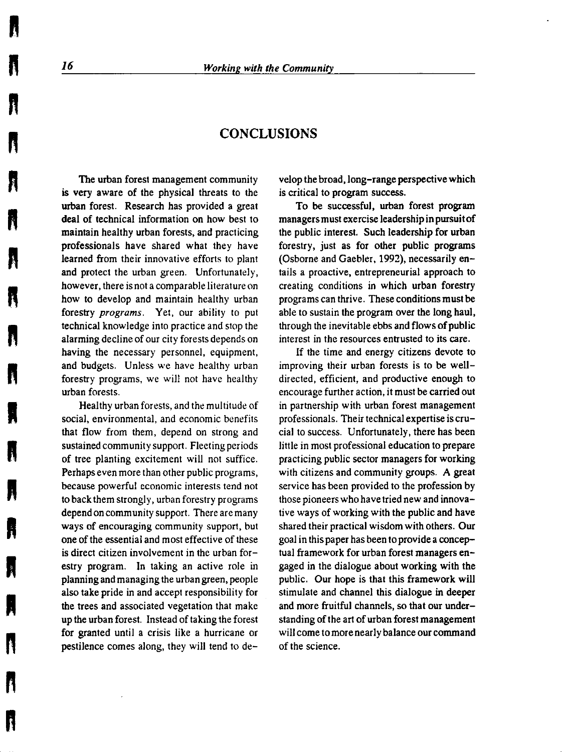### **CONCLUSIONS**

The urban forest management community is very aware of the physical threats to the urban forest. Research has provided a great deal of technical information on how best to maintain healthy urban forests, and practicing professionals have shared what they have learned from their innovative efforts to plant and protect the urban green. Unfortunately, however, there is not a comparable literature on how to develop and maintain healthy urban forestry *programs.* Yet, our ability to put technical knowledge into practice and stop the alarming decline of our city forests depends on having the necessary personnel, equipment, and budgets. Unless we have healthy urban forestry programs, we will not have healthy urban forests.

Healthy urban forests, and the multitude of social, environmental, and economic benefits that flow from them, depend on strong and sustained community support. Fleeting periods of tree planting excitement will not suffice. Perhaps even more than other public programs, because powerful economic interests tend not to back them strongly, urban forestry programs depend on community support. There are many ways of encouraging community support, but one of the essential and most effective of these is direct citizen involvement in the urban forestry program. In taking an active role in planning and managing the urban green, people also take pride in and accept responsibility for the trees and associated vegetation that make up the urban forest. Instead of taking the forest for granted until a crisis like a hurricane or pestilence comes along, they will tend to develop the broad, Jong-range perspective which is critical to program success.

To be successful, urban forest program managers must exercise leadership in pursuit of the public interest. Such leadership for urban forestry, just as for other public programs (Osborne and Gaebler, 1992), necessarily entails a proactive, entrepreneurial approach to creating conditions in which urban forestry programs can thrive. These conditions must be able to sustain the program over the long haul, through the inevitable ebbs and flows of public interest in the resources entrusted to its care.

If the time and energy citizens devote to improving their urban forests is to be welldirected, efficient, and productive enough to encourage further action, it must be carried out in partnership with urban forest management professionals. Their technical expertise is crucial to success. Unfortunately, there has been little in most professional education to prepare practicing public sector managers for working with citizens and community groups. A great service has been provided to the profession by those pioneers who have tried new and innovative ways of working with the public and have shared their practical wisdom with others. Our goal in this paper has been to provide a conceptual framework for urban forest managers engaged in the dialogue about working with the public. Our hope is that this framework will stimulate and channel this dialogue in deeper and more fruitful channels, so that our understanding of the art of urban forest management will come to more nearly balance our command of the science.

**ft** 

" **n** 

**T** 

**n** 

**ft** 

**n** 

**R** 

" "

**R** 

**n** 

N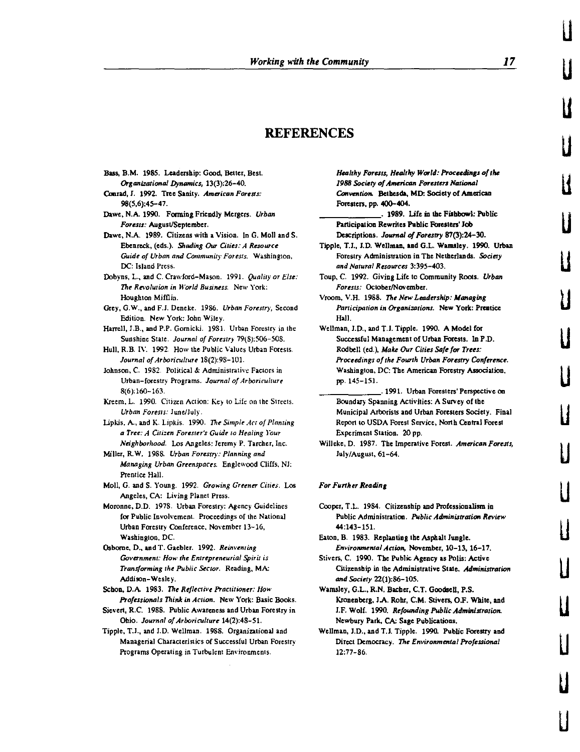#### **REFERENCES**

- Bus. B.M. 1985. Leadership: Good, Better, Best. *Organizational Dynamics,* 13(3):26-40.
- Conrad, J. 1992. Tree Sanity. *Ama'ican Forests:*  98(5,6):45-47.
- Dawe, N.A. 1990. Forming Friendly Mergers. *Urban Forests:* August/September.
- Dawe, N.A. 1989. Citizens with a Vision. In G. Moll and S. Ebcnreck, (eds.). *Shading* Our *Cities: A Resource Guide of Urban and Community Forests.* Washington, DC: Island Press.
- Dobyns, L., and C. Crawford-Mason. 1991. *Quality or Else: The Revolution in World Business.* New York: Houghton Mifflin.
- Grey, G.W., and F.I. Deneke. 1986. *Urban Forestry,* Second Edition. New York: John Wiley.
- Harrell, J.B., and P.P. Gornicki. 19S1. Urban Forestry in the Sunshine State. *Journal of Forestry* 79(8):506-508.
- Hull, R.B. I\'. 1992. How the Public Values Urban Forests. *Journal of Arboriculture* 18(2):98-101.
- Johnson, C. 1982. Political & Administrative Factors in Urban-forestry Programs. *Journal of Arboriculture*  8(6):160-163.
- Kreem, L. 1990. Citizen Action: Key to Life on the Streets. *Urban Forests:* June/July.
- Lipkis, A., and K. Lipkis. 1990. *The Simple Act of Planting a Tree: A Citizen Forester's Guide to Healing four Neighborhood.* Los Angeles: Jeremy P. Tarcber, Inc.
- Miller, R.W. 1988. *Urban Forestry: Planning and MaMging Urban Greenspaces.* Englewood Cliffs, NJ: Prentice Hall.
- Moll, G. and S. Young. 1992. *Growing Greener Cities.* Los Angeles, CA: Living Planet Press.
- Moronne, D.D. 1978. Urban Forestry: Agency Guidelines for Public Involvement. Proceedings of the National Urban Forestry Conference, November 13-16, Washington, DC.
- Osborne, D., and T. Gaebler. 1992. *Reinventing Government: How the Entrepreneurial Spirit is Tran.iforming the Public Sector.* Reading, MA: Addison-Wesle)·.
- Schon, D.A. 1983. *The Reflective Practitioner: How Ptofessionals Think* in *Action.* New York: Basic Books.
- Sievert, R.C. 1988. Public Awareness and Urban Forestry in Ohio. *Journal of Arboriculture* 14(2):48-51.
- Tipple, T.I., and J.D. Wellman. 1988. Organizational and Managerial Characteristics of Successful Urban Forestry Programs Operating in Turbulent Environments.

*Healthy Forests, Healthy World: Proceedings a/the*  1988 Society of American Foresters National *Conwntion.* Betbesda, MD: Society of American Foresters, pp. 400-404.

\_\_\_\_\_\_ . **1989.** Ufe in **lhe Fishbowl:** Public Participation Rewrites Public Foresters' Job Descriptions. Journal of Forestry 87(3):24-30.

- Tipple, T.l., J.D. Wellman, **and** G.L. Wamsley. 1990. Urban Forestry Administration in The Netherlands. Society *and Natural Re.sources* 3:395-403.
- Toup, C. 1992. Giving Life to Community Roots, *Urban Foresrs:* October/November.
- Vroom, V.H. 1988. The New Leadership: Managing Participation in Organizations. New York: Prentice Hall.
- Wellman, l.D., and T.l. Tipple. 1990. A Model for Successful Management of Urban Forests. In P.D. Rodbell (ed.), Make Our Cities Safe for Trees: Proceedings of the Fourth Urban Forestry Conference. Washington, DC: The American Forestry Association, pp. 145-151.
	- \_\_\_\_\_\_\_ . 1991. Urban foresters' Perspective on Boundary Spanning Activities: A Survey of the Municipal Arborists and Urban Foresters Society. Final Report to USDA forest Service, North Central Forest Experiment Station. 20 pp.
- Willeke, D. 1987. The Imperative Forest. *American Forests*, July/August, 61-64.

#### *For Further Reading*

- Cooper, T.L. 1984. Citizenship and Professionalism in Public Administration. Public Administration Review 44:143-151.
- Eaton, B. 1983. Replanting the Asphalt Jungle. *Environmenial Action,* November, 10-13, 16-17.
- Stivers, C. 1990. The Public Agency as Polis: Active Citizenship in the Administrative State. *Administration and Society* 22(1):86-105.
- Wamsley, G.L., R.N. Bacher, C.T. Goodsell, P.S. Kronenberg, I.A. Robr, C.M. Stivers, 0.F. White, and J.F. Wolf. 1990. *Refounding Public Administration.* Newbury Park, CA: Sage Publications.
- Wellman, J.D., and T.J. Tipple. 1990. Public Forestry and Direct Democracy. *The Environmental Professional*  12:77-86.

u

u

u

u

u

u

u

u

u

LI

LI

u

u

LI

LI

u

LI

u

LI